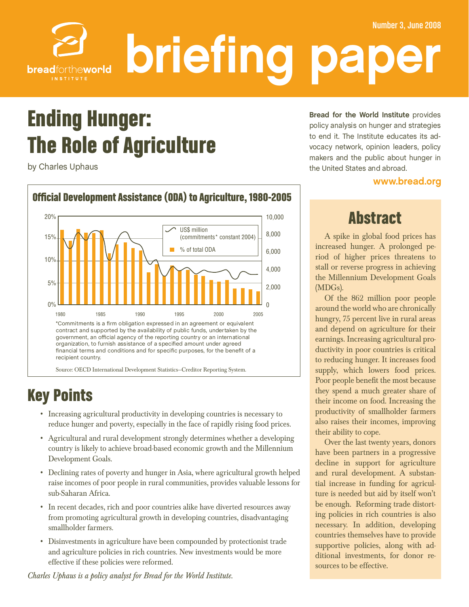

# Ending Hunger: The Role of Agriculture

by Charles Uphaus



# Key Points

- • Increasing agricultural productivity in developing countries is necessary to reduce hunger and poverty, especially in the face of rapidly rising food prices.
- • Agricultural and rural development strongly determines whether a developing country is likely to achieve broad-based economic growth and the Millennium Development Goals.
- Declining rates of poverty and hunger in Asia, where agricultural growth helped raise incomes of poor people in rural communities, provides valuable lessons for sub-Saharan Africa.
- In recent decades, rich and poor countries alike have diverted resources away from promoting agricultural growth in developing countries, disadvantaging smallholder farmers.
- Disinvestments in agriculture have been compounded by protectionist trade and agriculture policies in rich countries. New investments would be more effective if these policies were reformed.

*Charles Uphaus is a policy analyst for Bread for the World Institute.*

**Bread for the World Institute** provides policy analysis on hunger and strategies to end it. The Institute educates its advocacy network, opinion leaders, policy makers and the public about hunger in makers and the public about hunger in:<br>the United Otates and showed the United States and abroad.

#### www.bread.org

# Abstract

A spike in global food prices has increased hunger. A prolonged period of higher prices threatens to stall or reverse progress in achieving the Millennium Development Goals (MDGs).

Of the 862 million poor people around the world who are chronically hungry, 75 percent live in rural areas and depend on agriculture for their earnings. Increasing agricultural productivity in poor countries is critical to reducing hunger. It increases food supply, which lowers food prices. Poor people benefit the most because they spend a much greater share of their income on food. Increasing the productivity of smallholder farmers also raises their incomes, improving their ability to cope.

Over the last twenty years, donors have been partners in a progressive decline in support for agriculture and rural development. A substantial increase in funding for agriculture is needed but aid by itself won't be enough. Reforming trade distorting policies in rich countries is also necessary. In addition, developing countries themselves have to provide supportive policies, along with additional investments, for donor resources to be effective.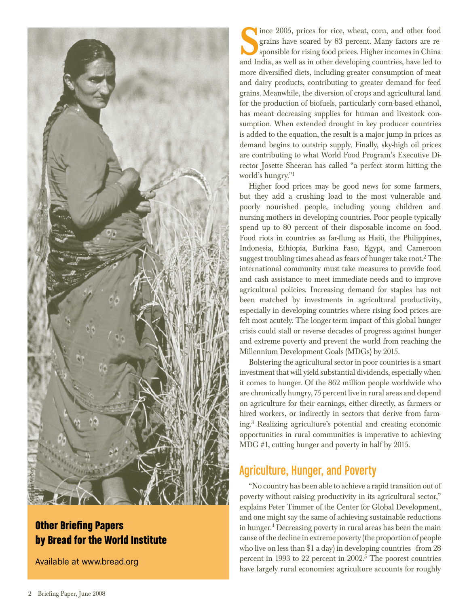

### Other Briefing Papers by Bread for the World Institute

Available at www.bread.org

Since 2005, prices for rice, wheat, corn, and other food grains have soared by 83 percent. Many factors are responsible for rising food prices. Higher incomes in China grains have soared by 83 percent. Many factors are responsible for rising food prices. Higher incomes in China and India, as well as in other developing countries, have led to more diversified diets, including greater consumption of meat and dairy products, contributing to greater demand for feed grains. Meanwhile, the diversion of crops and agricultural land for the production of biofuels, particularly corn-based ethanol, has meant decreasing supplies for human and livestock consumption. When extended drought in key producer countries is added to the equation, the result is a major jump in prices as demand begins to outstrip supply. Finally, sky-high oil prices are contributing to what World Food Program's Executive Director Josette Sheeran has called "a perfect storm hitting the world's hungry."<sup>1</sup>

Higher food prices may be good news for some farmers, but they add a crushing load to the most vulnerable and poorly nourished people, including young children and nursing mothers in developing countries. Poor people typically spend up to 80 percent of their disposable income on food. Food riots in countries as far-flung as Haiti, the Philippines, Indonesia, Ethiopia, Burkina Faso, Egypt, and Cameroon suggest troubling times ahead as fears of hunger take root.<sup>2</sup> The international community must take measures to provide food and cash assistance to meet immediate needs and to improve agricultural policies. Increasing demand for staples has not been matched by investments in agricultural productivity, especially in developing countries where rising food prices are felt most acutely. The longer-term impact of this global hunger crisis could stall or reverse decades of progress against hunger and extreme poverty and prevent the world from reaching the Millennium Development Goals (MDGs) by 2015.

Bolstering the agricultural sector in poor countries is a smart investment that will yield substantial dividends, especially when it comes to hunger. Of the 862 million people worldwide who are chronically hungry, 75 percent live in rural areas and depend on agriculture for their earnings, either directly, as farmers or hired workers, or indirectly in sectors that derive from farming.3 Realizing agriculture's potential and creating economic opportunities in rural communities is imperative to achieving MDG #1, cutting hunger and poverty in half by 2015.

### Agriculture, Hunger, and Poverty

"No country has been able to achieve a rapid transition out of poverty without raising productivity in its agricultural sector," explains Peter Timmer of the Center for Global Development, and one might say the same of achieving sustainable reductions in hunger.<sup>4</sup> Decreasing poverty in rural areas has been the main cause ofthe decline in extreme poverty (the proportion of people who live on less than \$1 a day) in developing countries—from 28 percent in 1993 to 22 percent in  $2002<sup>5</sup>$ . The poorest countries have largely rural economies: agriculture accounts for roughly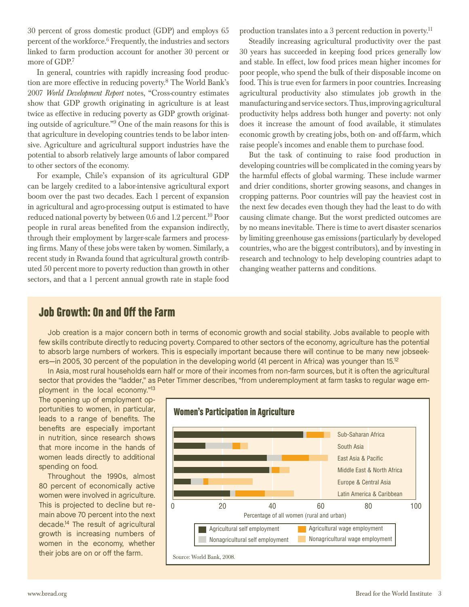30 percent of gross domestic product (GDP) and employs 65 percent of the workforce. $6$  Frequently, the industries and sectors linked to farm production account for another 30 percent or more of GDP.<sup>7</sup>

In general, countries with rapidly increasing food production are more effective in reducing poverty.8 The World Bank's 2007 *World Development Report* notes, "Cross-country estimates show that GDP growth originating in agriculture is at least twice as effective in reducing poverty as GDP growth originating outside of agriculture."9 One of the main reasons for this is that agriculture in developing countries tends to be labor intensive. Agriculture and agricultural support industries have the potential to absorb relatively large amounts of labor compared to other sectors of the economy.

For example, Chile's expansion of its agricultural GDP can be largely credited to a labor-intensive agricultural export boom over the past two decades. Each 1 percent of expansion in agricultural and agro-processing output is estimated to have reduced national poverty by between 0.6 and 1.2 percent.10 Poor people in rural areas benefited from the expansion indirectly, through their employment by larger-scale farmers and processing firms. Many of these jobs were taken by women. Similarly, a recent study in Rwanda found that agricultural growth contributed 50 percent more to poverty reduction than growth in other sectors, and that a 1 percent annual growth rate in staple food production translates into a 3 percent reduction in poverty.<sup>11</sup>

Steadily increasing agricultural productivity over the past 30 years has succeeded in keeping food prices generally low and stable. In effect, low food prices mean higher incomes for poor people, who spend the bulk of their disposable income on food. This is true even for farmers in poor countries. Increasing agricultural productivity also stimulates job growth in the manufacturing and service sectors. Thus, improving agricultural productivity helps address both hunger and poverty: not only does it increase the amount of food available, it stimulates economic growth by creating jobs, both on- and off-farm, which raise people's incomes and enable them to purchase food.

But the task of continuing to raise food production in developing countries will be complicated in the coming years by the harmful effects of global warming. These include warmer and drier conditions, shorter growing seasons, and changes in cropping patterns. Poor countries will pay the heaviest cost in the next few decades even though they had the least to do with causing climate change. But the worst predicted outcomes are by no means inevitable. There is time to avert disaster scenarios by limiting greenhouse gas emissions(particularly by developed countries, who are the biggest contributors), and by investing in research and technology to help developing countries adapt to changing weather patterns and conditions.

#### Job Growth: On and Off the Farm

Job creation is a major concern both in terms of economic growth and social stability. Jobs available to people with<br>few skills contribute directly to reducing poverty. Compared to other sectors of the economy, agriculture to absorb large numbers of workers. This is especially important because there will continue to be many new jobseekers—in 2005, 30 percent of the population in the developing world (41 percent in Africa) was younger than 15.<sup>12</sup>

In Asia, most rural households earn half or more of their incomes from non-farm sources, but it is often the agricultural In Asia, most rural households earn  $\frac{1}{2}$  is  $\frac{1}{2}$  in Asia,  $\frac{1}{2}$  is often the agricultural households  $\frac{1}{2}$  is  $\frac{1}{2}$  in  $\frac{1}{2}$  is  $\frac{1}{2}$  is  $\frac{1}{2}$  is  $\frac{1}{2}$  is  $\frac{1}{2}$  is  $\frac{1}{2}$  is  $\$ sector that provides the "ladder," as Peter Timmer describes, "from underemployment at farm tasks to regular wage em-

ployment in the local economy."<sup>13</sup><br>The opening up of employment opportunities to women, in particular, leads to a range of benefits. The benefits are especially important in nutrition, since research shows that more income in the hands of women leads directly to additional spending on food.

Throughout the 1990s, almost 80 percent of economically active women were involved in agriculture. This is projected to decline but remain above 70 percent into the next decade.<sup>14</sup> The result of agricultural growth is increasing numbers of women in the economy, whether their jobs are on or off the farm.

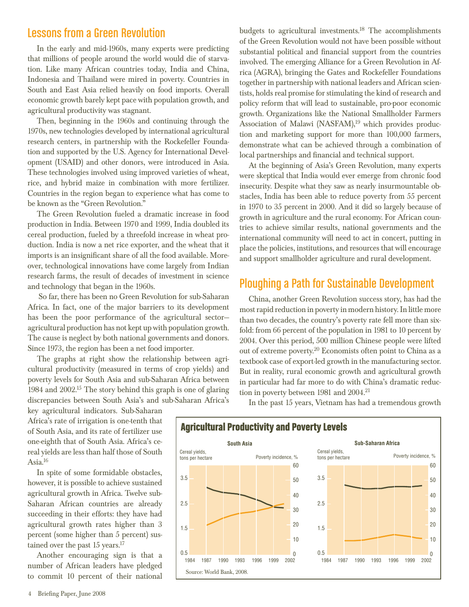#### Lessons from a Green Revolution

In the early and mid-1960s, many experts were predicting that millions of people around the world would die of starvation. Like many African countries today, India and China, Indonesia and Thailand were mired in poverty. Countries in South and East Asia relied heavily on food imports. Overall economic growth barely kept pace with population growth, and agricultural productivity was stagnant.

Then, beginning in the 1960s and continuing through the 1970s, new technologies developed by international agricultural research centers, in partnership with the Rockefeller Foundation and supported by the U.S. Agency for International Development (USAID) and other donors, were introduced in Asia. These technologies involved using improved varieties of wheat, rice, and hybrid maize in combination with more fertilizer. Countries in the region began to experience what has come to be known as the "Green Revolution."

The Green Revolution fueled a dramatic increase in food production in India. Between 1970 and 1999, India doubled its cereal production, fueled by a threefold increase in wheat production. India is now a net rice exporter, and the wheat that it imports is an insignificant share of all the food available. Moreover, technological innovations have come largely from Indian research farms, the result of decades of investment in science and technology that began in the 1960s.

So far, there has been no Green Revolution for sub-Saharan Africa. In fact, one of the major barriers to its development has been the poor performance of the agricultural sectoragricultural production has not kept up with population growth. The cause is neglect by both national governments and donors. Since 1973, the region has been a net food importer.

The graphs at right show the relationship between agricultural productivity (measured in terms of crop yields) and poverty levels for South Asia and sub-Saharan Africa between 1984 and 2002.15 The story behind this graph is one of glaring discrepancies between South Asia's and sub-Saharan Africa's

key agricultural indicators. Sub-Saharan Africa's rate of irrigation is one-tenth that of South Asia, and its rate of fertilizer use one-eighth that of South Asia. Africa's cereal yields are less than half those of South Asia. $16$ 

In spite of some formidable obstacles, however, it is possible to achieve sustained agricultural growth in Africa. Twelve sub-Saharan African countries are already succeeding in their efforts: they have had agricultural growth rates higher than 3 percent (some higher than 5 percent) sustained over the past 15 years.<sup>17</sup>

Another encouraging sign is that a number of African leaders have pledged to commit 10 percent of their national budgets to agricultural investments.18 The accomplishments of the Green Revolution would not have been possible without substantial political and financial support from the countries involved. The emerging Alliance for a Green Revolution in Africa (AGRA), bringing the Gates and Rockefeller Foundations together in partnership with national leaders and African scientists, holds real promise for stimulating the kind of research and policy reform that will lead to sustainable, pro-poor economic growth. Organizations like the National Smallholder Farmers Association of Malawi (NASFAM), $19$  which provides production and marketing support for more than 100,000 farmers, demonstrate what can be achieved through a combination of local partnerships and financial and technical support.

At the beginning of Asia's Green Revolution, many experts were skeptical that India would ever emerge from chronic food insecurity. Despite what they saw as nearly insurmountable obstacles, India has been able to reduce poverty from 55 percent in 1970 to 35 percent in 2000. And it did so largely because of growth in agriculture and the rural economy. For African countries to achieve similar results, national governments and the international community will need to act in concert, putting in place the policies, institutions, and resources that will encourage and support smallholder agriculture and rural development.

#### Ploughing a Path for Sustainable Development

China, another Green Revolution success story, has had the mostrapid reduction in poverty in modern history.In little more than two decades, the country's poverty rate fell more than sixfold: from 66 percent of the population in 1981 to 10 percent by 2004. Over this period, 500 million Chinese people were lifted out of extreme poverty.20 Economists often point to China as a textbook case of export-led growth in the manufacturing sector. But in reality, rural economic growth and agricultural growth in particular had far more to do with China's dramatic reduction in poverty between 1981 and 2004.<sup>21</sup>

In the past 15 years, Vietnam has had a tremendous growth



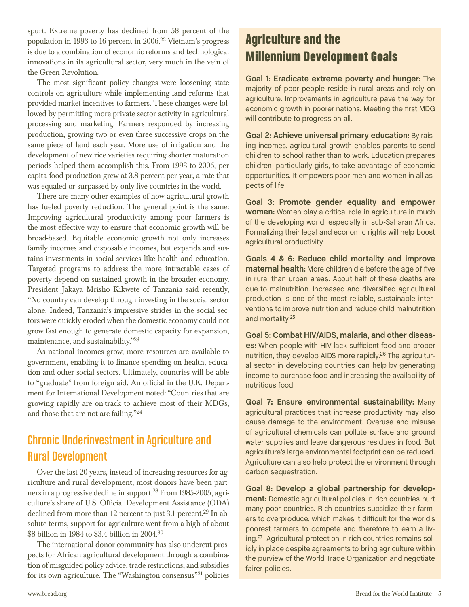spurt. Extreme poverty has declined from 58 percent of the population in 1993 to 16 percent in  $2006<sup>22</sup>$  Vietnam's progress is due to a combination of economic reforms and technological innovations in its agricultural sector, very much in the vein of the Green Revolution.

The most significant policy changes were loosening state controls on agriculture while implementing land reforms that provided market incentives to farmers. These changes were followed by permitting more private sector activity in agricultural processing and marketing. Farmers responded by increasing production, growing two or even three successive crops on the same piece of land each year. More use of irrigation and the development of new rice varieties requiring shorter maturation periods helped them accomplish this. From 1993 to 2006, per capita food production grew at 3.8 percent per year, a rate that was equaled or surpassed by only five countries in the world.

There are many other examples of how agricultural growth has fueled poverty reduction. The general point is the same: Improving agricultural productivity among poor farmers is the most effective way to ensure that economic growth will be broad-based. Equitable economic growth not only increases family incomes and disposable incomes, but expands and sustains investments in social services like health and education. Targeted programs to address the more intractable cases of poverty depend on sustained growth in the broader economy. President Jakaya Mrisho Kikwete of Tanzania said recently, "No country can develop through investing in the social sector alone. Indeed, Tanzania's impressive strides in the social sectors were quickly eroded when the domestic economy could not grow fast enough to generate domestic capacity for expansion, maintenance, and sustainability."23

As national incomes grow, more resources are available to government, enabling it to finance spending on health, education and other social sectors. Ultimately, countries will be able to "graduate" from foreign aid. An official in the U.K. Department for International Development noted: "Countries that are growing rapidly are on-track to achieve most of their MDGs, and those that are not are failing."24

# Chronic Underinvestment in Agriculture and Rural Development

Over the last 20 years, instead of increasing resources for agriculture and rural development, most donors have been partnersin a progressive decline in support.28 From 1985-2005, agriculture's share of U.S. Official Development Assistance (ODA) declined from more than 12 percent to just 3.1 percent.<sup>29</sup> In absolute terms, support for agriculture went from a high of about \$8 billion in 1984 to \$3.4 billion in 2004.30

The international donor community has also undercut prospects for African agricultural development through a combination of misguided policy advice, trade restrictions, and subsidies for its own agriculture. The "Washington consensus"31 policies

# Agriculture and the Millennium Development Goals

**Goal 1: Eradicate extreme poverty and hunger:** The majority of poor people reside in rural areas and rely on agriculture. Improvements in agriculture pave the way for economic growth in poorer nations. Meeting the first MDG will contribute to progress on all. will contribute to progress on all.

**Goal 2: Achieve universal primary education:** By raising incomes, agricultural growth enables parents to send children to school rather than to work. Education prepares children, particularly girls, to take advantage of economic children, particularly girls, to take advantage of economic opportunities. It empowers poor men and women in all aspects of life.

**Goal 3: Promote gender equality and empower women:** Women play a critical role in agriculture in much of the developing world, especially in sub-Saharan Africa. Formalizing their legal and economic rights will help boost Formalizing their legal and economic rights will help boost agricultural productivity.

**Goals 4 & 6: Reduce child mortality and improve maternal health:** More children die before the age of five in rural than urban areas. About half of these deaths are due to malnutrition. Increased and diversified agricultural production is one of the most reliable, sustainable interventions to improve nutrition and reduce child malnutrition ventions to improve nutrition and reduce child malnutrition and mortality.<sup>20</sup>

**Goal 5: Combat HIV/AIDS, malaria, and other diseases:** When people with HIV lack sufficient food and proper nutrition, they develop AIDS more rapidly.<sup>26</sup> The agricultural sector in developing countries can help by generating al sector in developing committed can help by generating income to purchase food and increasing the availability of

Goal 7: Ensure environmental sustainability: Many agricultural practices that increase productivity may also cause damage to the environment. Overuse and misuse of agricultural chemicals can pollute surface and ground water supplies and leave dangerous residues in food. But agriculture's large environmental footprint can be reduced. Agriculture can also help protect the environment through Agriculture can also help protect the environment through carbon sequestration.

**Goal 8: Develop a global partnership for development:** Domestic agricultural policies in rich countries hurt many poor countries. Rich countries subsidize their farmers to overproduce, which makes it difficult for the world's poorest farmers to compete and therefore to earn a living.<sup>27</sup> Agricultural protection in rich countries remains solidly in place despite agreements to bring agriculture within idly in place despite agreements to bring agriculture minim the purview of the World Trade Organization and negotiate fairer policies.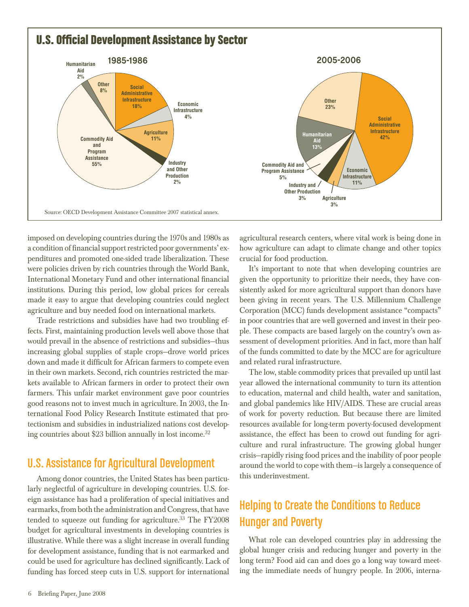

imposed on developing countries during the 1970s and 1980s as a condition of financial support restricted poor governments' expenditures and promoted one-sided trade liberalization. These were policies driven by rich countries through the World Bank, International Monetary Fund and other international financial institutions. During this period, low global prices for cereals made it easy to argue that developing countries could neglect agriculture and buy needed food on international markets.

Trade restrictions and subsidies have had two troubling effects. First, maintaining production levels well above those that would prevail in the absence of restrictions and subsidies—thus increasing global supplies of staple crops—drove world prices down and made it difficult for African farmers to compete even in their own markets. Second, rich countries restricted the markets available to African farmers in order to protect their own farmers. This unfair market environment gave poor countries good reasons not to invest much in agriculture. In 2003, the International Food Policy Research Institute estimated that protectionism and subsidies in industrialized nations cost developing countries about \$23 billion annually in lost income.<sup>32</sup>

#### U.S. Assistance for Agricultural Development

Among donor countries, the United States has been particularly neglectful of agriculture in developing countries. U.S. foreign assistance has had a proliferation of special initiatives and earmarks, from both the administration and Congress, that have tended to squeeze out funding for agriculture.<sup>33</sup> The FY2008 budget for agricultural investments in developing countries is illustrative. While there was a slight increase in overall funding for development assistance, funding that is not earmarked and could be used for agriculture has declined significantly. Lack of funding has forced steep cuts in U.S. support for international agricultural research centers, where vital work is being done in how agriculture can adapt to climate change and other topics crucial for food production.

It's important to note that when developing countries are given the opportunity to prioritize their needs, they have consistently asked for more agricultural support than donors have been giving in recent years. The U.S. Millennium Challenge Corporation (MCC) funds development assistance "compacts" in poor countries that are well governed and invest in their people. These compacts are based largely on the country's own assessment of development priorities. And in fact, more than half of the funds committed to date by the MCC are for agriculture and related rural infrastructure.

The low, stable commodity prices that prevailed up until last year allowed the international community to turn its attention to education, maternal and child health, water and sanitation, and global pandemics like HIV/AIDS. These are crucial areas of work for poverty reduction. But because there are limited resources available for long-term poverty-focused development assistance, the effect has been to crowd out funding for agriculture and rural infrastructure. The growing global hunger crisis—rapidly rising food prices and the inability of poor people around the world to cope with them—islargely a consequence of this underinvestment.

## Helping to Create the Conditions to Reduce Hunger and Poverty

What role can developed countries play in addressing the global hunger crisis and reducing hunger and poverty in the long term? Food aid can and does go a long way toward meeting the immediate needs of hungry people. In 2006, interna-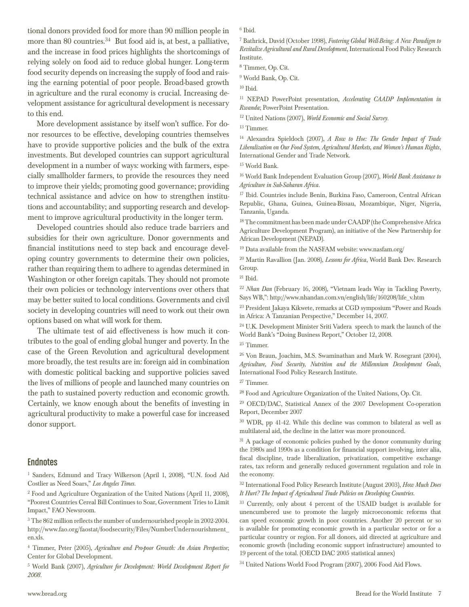tional donors provided food for more than 90 million people in more than 80 countries. $34$  But food aid is, at best, a palliative, and the increase in food prices highlights the shortcomings of relying solely on food aid to reduce global hunger. Long-term food security depends on increasing the supply of food and raising the earning potential of poor people. Broad-based growth in agriculture and the rural economy is crucial. Increasing development assistance for agricultural development is necessary to this end.

More development assistance by itself won't suffice. For donor resources to be effective, developing countries themselves have to provide supportive policies and the bulk of the extra investments. But developed countries can support agricultural development in a number of ways: working with farmers, especially smallholder farmers, to provide the resources they need to improve their yields; promoting good governance; providing technical assistance and advice on how to strengthen institutions and accountability; and supporting research and development to improve agricultural productivity in the longer term.

Developed countries should also reduce trade barriers and subsidies for their own agriculture. Donor governments and financial institutions need to step back and encourage developing country governments to determine their own policies, rather than requiring them to adhere to agendas determined in Washington or other foreign capitals. They should not promote their own policies or technology interventions over others that may be better suited to local conditions. Governments and civil society in developing countries will need to work out their own options based on what will work for them.

The ultimate test of aid effectiveness is how much it contributes to the goal of ending global hunger and poverty. In the case of the Green Revolution and agricultural development more broadly, the test results are in: foreign aid in combination with domestic political backing and supportive policies saved the lives of millions of people and launched many countries on the path to sustained poverty reduction and economic growth. Certainly, we know enough about the benefits of investing in agricultural productivity to make a powerful case for increased donor support.

#### **Endnotes**

- <sup>1</sup> Sanders, Edmund and Tracy Wilkerson (April 1, 2008), "U.N. food Aid Costlier as Need Soars," *Los Angeles Times*.
- <sup>2</sup> Food and Agriculture Organization of the United Nations (April 11, 2008), "Poorest Countries Cereal Bill Continues to Soar, Government Tries to Limit Impact," FAO Newsroom.
- $3$  The 862 million reflects the number of undernourished people in 2002-2004. http://www.fao.org/faostat/foodsecurity/Files/NumberUndernourishment\_ en.xls.

<sup>4</sup> Timmer, Peter (2005), *Agriculture and Pro-poor Growth: An Asian Perspective*; Center for Global Development.

<sup>5</sup> World Bank (2007), *Agriculture for Development: World Development Report for 2008*.

<sup>6</sup> Ibid.

<sup>7</sup> Bathrick, David (October 1998), *Fostering Global Well-Being: A New Paradigm to Revitalize Agricultural and Rural Development*,International Food Policy Research Institute.

<sup>8</sup> Timmer, Op. Cit.

<sup>9</sup> World Bank, Op. Cit.

 $^{10}$  Ibid.

<sup>11</sup> NEPAD PowerPoint presentation, *Accelerating CAADP Implementation in Rwanda*; PowerPoint Presentation.

<sup>12</sup> United Nations (2007), *World Economic and Social Survey*.

<sup>13</sup> Timmer.

<sup>14</sup> Alexandra Spieldoch (2007), *A Row to Hoe: The Gender Impact of Trade Liberalization on Our Food System, Agricultural Markets, and Women's Human Rights*, International Gender and Trade Network.

<sup>15</sup> World Bank.

<sup>16</sup> World Bank Independent Evaluation Group (2007), *World Bank Assistance to Agriculture in Sub-Saharan Africa*.

<sup>17</sup> Ibid. Countries include Benin, Burkina Faso, Cameroon, Central African Republic, Ghana, Guinea, Guinea-Bissau, Mozambique, Niger, Nigeria, Tanzania, Uganda.

<sup>18</sup> The commitment has been made under CAADP (the Comprehensive Africa Agriculture Development Program), an initiative of the New Partnership for African Development (NEPAD).

<sup>19</sup> Data available from the NASFAM website: www.nasfam.org/

<sup>20</sup> Martin Ravallion (Jan. 2008), *Lessons for Africa*, World Bank Dev. Research Group.

 $21$  Ibid.

<sup>22</sup> *Nhan Dan* (February 16, 2008), "Vietnam leads Way in Tackling Poverty, Says WB,": http://www.nhandan.com.vn/english/life/160208/life\_v.htm

<sup>23</sup> President Jakaya Kikwete, remarks at CGD symposium "Power and Roads in Africa: A Tanzanian Perspective," December 14, 2007.

<sup>24</sup> U.K. Development Minister Sriti Vadera speech to mark the launch of the World Bank's "Doing Business Report," October 12, 2008.

<sup>25</sup> Timmer.

<sup>26</sup> Von Braun, Joachim, M.S. Swaminathan and Mark W. Rosegrant (2004), *Agriculture, Food Security, Nutrition and the Millennium Development Goals*, International Food Policy Research Institute.

<sup>27</sup> Timmer.

<sup>28</sup> Food and Agriculture Organization of the United Nations, Op. Cit.

<sup>29</sup> OECD/DAC, Statistical Annex of the 2007 Development Co-operation Report, December 2007

<sup>30</sup> WDR, pp 41-42. While this decline was common to bilateral as well as multilateral aid, the decline in the latter was more pronounced.

<sup>31</sup> A package of economic policies pushed by the donor community during the 1980s and 1990s as a condition for financial support involving, inter alia, fiscal discipline, trade liberalization, privatization, competitive exchange rates, tax reform and generally reduced government regulation and role in the economy.

<sup>32</sup> International Food Policy Research Institute (August 2003), *How Much Does It Hurt? The Impact of Agricultural Trade Policies on Developing Countries*.

<sup>33</sup> Currently, only about 4 percent of the USAID budget is available for unencumbered use to promote the largely microeconomic reforms that can speed economic growth in poor countries. Another 20 percent or so is available for promoting economic growth in a particular sector or for a particular country or region. For all donors, aid directed at agriculture and economic growth (including economic support infrastructure) amounted to 19 percent of the total. (OECD DAC 2005 statistical annex)

<sup>34</sup> United Nations World Food Program (2007), 2006 Food Aid Flows.